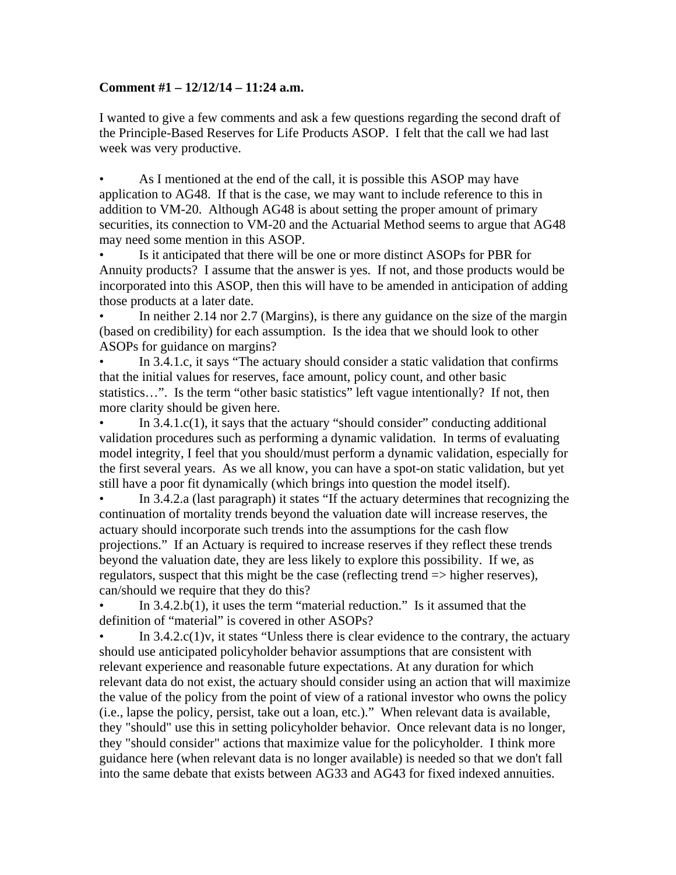## **Comment #1 – 12/12/14 – 11:24 a.m.**

I wanted to give a few comments and ask a few questions regarding the second draft of the Principle-Based Reserves for Life Products ASOP. I felt that the call we had last week was very productive.

• As I mentioned at the end of the call, it is possible this ASOP may have application to AG48. If that is the case, we may want to include reference to this in addition to VM-20. Although AG48 is about setting the proper amount of primary securities, its connection to VM-20 and the Actuarial Method seems to argue that AG48 may need some mention in this ASOP.

Is it anticipated that there will be one or more distinct ASOPs for PBR for Annuity products? I assume that the answer is yes. If not, and those products would be incorporated into this ASOP, then this will have to be amended in anticipation of adding those products at a later date.

In neither 2.14 nor 2.7 (Margins), is there any guidance on the size of the margin (based on credibility) for each assumption. Is the idea that we should look to other ASOPs for guidance on margins?

• In 3.4.1.c, it says "The actuary should consider a static validation that confirms that the initial values for reserves, face amount, policy count, and other basic statistics…". Is the term "other basic statistics" left vague intentionally? If not, then more clarity should be given here.

In  $3.4.1 \text{ }c(1)$ , it says that the actuary "should consider" conducting additional validation procedures such as performing a dynamic validation. In terms of evaluating model integrity, I feel that you should/must perform a dynamic validation, especially for the first several years. As we all know, you can have a spot-on static validation, but yet still have a poor fit dynamically (which brings into question the model itself).

• In 3.4.2.a (last paragraph) it states "If the actuary determines that recognizing the continuation of mortality trends beyond the valuation date will increase reserves, the actuary should incorporate such trends into the assumptions for the cash flow projections." If an Actuary is required to increase reserves if they reflect these trends beyond the valuation date, they are less likely to explore this possibility. If we, as regulators, suspect that this might be the case (reflecting trend => higher reserves), can/should we require that they do this?

In  $3.4.2.b(1)$ , it uses the term "material reduction." Is it assumed that the definition of "material" is covered in other ASOPs?

In  $3.4.2.\text{c}(1)$ <sub>v</sub>, it states "Unless there is clear evidence to the contrary, the actuary should use anticipated policyholder behavior assumptions that are consistent with relevant experience and reasonable future expectations. At any duration for which relevant data do not exist, the actuary should consider using an action that will maximize the value of the policy from the point of view of a rational investor who owns the policy (i.e., lapse the policy, persist, take out a loan, etc.)." When relevant data is available, they "should" use this in setting policyholder behavior. Once relevant data is no longer, they "should consider" actions that maximize value for the policyholder. I think more guidance here (when relevant data is no longer available) is needed so that we don't fall into the same debate that exists between AG33 and AG43 for fixed indexed annuities.